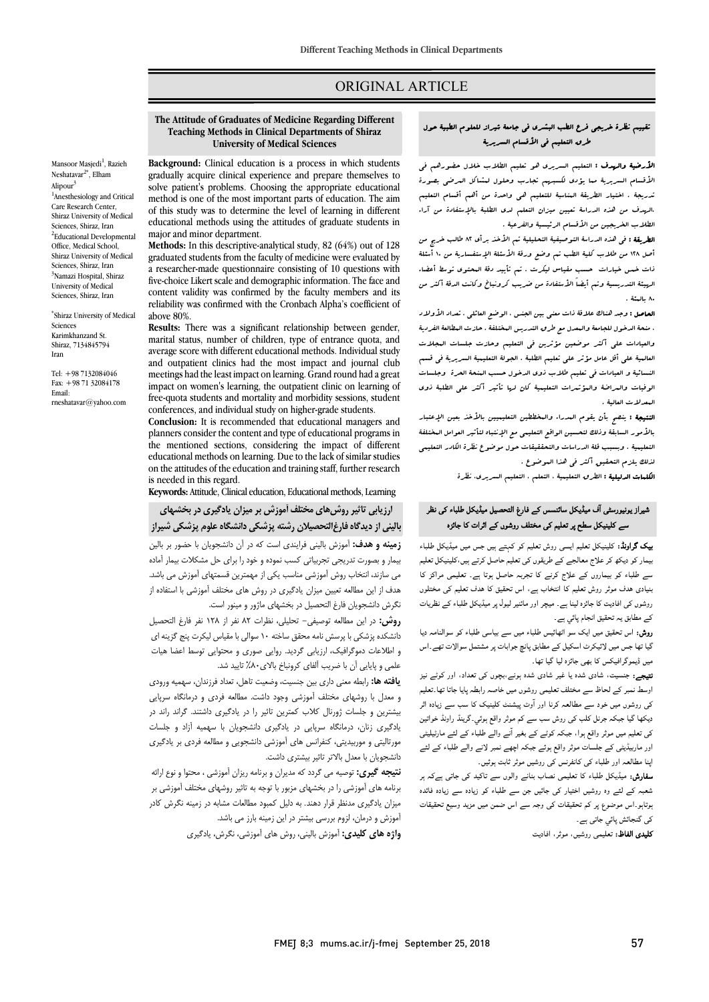## ORIGINAL ARTICLE

# **The Attitude of Graduates of Medicine Regarding Different Teaching Methods in Clinical Departments of Shiraz University of Medical Sciences**

Ī 

Mansoor Masjedi<sup>1</sup>, Razieh Neshatavar<sup>2\*</sup>, Elham Alipour<sup>3</sup> <sup>1</sup>Anesthesiology and Critical Care Research Center, Shiraz University of Medical Sciences, Shiraz, Iran <sup>2</sup>Educational Developmental Office, Medical School, Shiraz University of Medical Sciences, Shiraz, Iran <sup>3</sup>Namazi Hospital, Shiraz University of Medical Sciences, Shiraz, Iran

\* Shiraz University of Medical Sciences Karimkhanzand St. Shiraz, 7134845794 Iran

Tel: +98 7132084046 Fax: +98 71 32084178 Email: rneshatavar@yahoo.com

 **Background:** Clinical education is a process in which students gradually acquire clinical experience and prepare themselves to method is one of the most important parts of education. The aim of this study was to determine the level of learning in different educational methods using the attitudes of graduate students in<br>major and minor department. solve patient's problems. Choosing the appropriate educational major and minor department.

 **Methods:** In this descriptive-analytical study, 82 (64%) out of 128 a researcher-made questionnaire consisting of 10 questions with five-choice Likert scale and demographic information. The face and reliability was confirmed with the Cronbach Alpha's coefficient of graduated students from the faculty of medicine were evaluated by content validity was confirmed by the faculty members and its above 80%.

 **Results:** There was a significant relationship between gender, marital status, number of children, type of entrance quota, and average score with different educational methods. Individual study meetings had the least impact on learning. Grand round had a great impact on women's learning, the outpatient clinic on learning of conferences, and individual study on higher-grade students. and outpatient clinics had the most impact and journal club free-quota students and mortality and morbidity sessions, student

 **Conclusion:** It is recommended that educational managers and planners consider the content and type of educational programs in<br>the mentioned sections, considering the impact of different educational methods on learning. Due to the lack of similar studies on the attitudes of the education and training staff, further research<br>is needed in this regard planners consider the content and type of educational programs in is needed in this regard.

**Keywords:** Attitude, Clinical education, Educational methods, Learning

 **ارزیابی تاثیر روشهاي مختلف آموزش بر میزان یادگیري در بخشهاي بالینی از دیدگاه فارغالتحصیلان رشته پزشکی دانشگاه علوم پزشکی شیراز**

 **زمینه و هدف:** آموزش بالینی فرایندي است که در آن دانشجویان با حضور بر بالین بیمار و بصورت تدریجی تجربیاتی کسب نموده و خود را براي حل مشکلات بیمار آماده می سازند، انتخاب روش آموزشی مناسب یکی از مهمترین قسمتهاي آموزش می باشد. هدف از این مطالعه تعیین میزان یادگیري در روش هاي مختلف آموزشی با استفاده از نگرش دانشجویان فارغ التحصیل در بخشهای ماژور و مینور است.<br>مشهور التحصیل الله مینور است.

**رر ت** 7 س کرتے ہیں۔<br>دانشکدہ پزشکی با پرسش نامه محقق ساخته ١٠ سوالی با مقیاس لیکرت پنج گزینه ای و اطلاعات دموگرافیک، ارزیابی گردید. روایی صوري و محتوایی توسط اعضا هیات علمی و پایایی آن با ضریب آلفای کرونباخ بالای۸۰٪ تایید شد. **روش:** در این مطالعه توصیفی- تحلیلی، نظرات 82 نفر از 128 نفر فارغ التحصیل

 **یافته ها:** رابطه معنی داري بین جنسیت، وضعیت تاهل، تعداد فرزندان، سهمیه ورودي و معدل با روشهاي مختلف آموزشی وجود داشت. مطالعه فردي و درمانگاه سرپایی بیشترین و جلسات ژورنال کلاب کمترین تاثیر را در یادگیري داشتند. گراند راند در به نیری رس، درمانده سرپایی در یادنیزی دانشجویان با سهمیه آراد و جساب<br>مورتالیتی و موربیدیتی، کنفرانس های آموزشی دانشجویی و مطالعه فردی بر یادگیری دانشجویان با معدل بالاتر تاثیر بیشتري داشت. یادگیري زنان، درمانگاه سرپایی در یادگیري دانشجویان با سهمیه آزاد و جلسات

 **نتیجه گیري:** توصیه می گردد که مدیران و برنامه ریزان آموزشی ، محتوا و نوع ارائه برنامه هاي آموزشی را در بخشهاي مزبور با توجه به تاثیر روشهاي مختلف آموزشی بر میزان یادگیري مدنظر قرار دهند. به دلیل کمبود مطالعات مشابه در زمینه نگرش کادر آموزش و درمان، لزوم بررسی بیشتر در این زمینه بارز می باشد.

**واژه هاي کلیدي:** آموزش بالینی، روش هاي آموزشی، نگرش، یادگیري

## تقییم نظرة خریجی فرع الطب البشري فی جامعۀ شیراز للعلوم الطبیۀ حول طرق التعلیم فی الأقسام السریریۀ

 $\overline{\phantom{0}}$ 

 الأرضیۀ والهدف : التعلیم السریري هو تعلیم الطلاب خلال حضورهم فی الأقسام السریریۀ مما یؤدي لکسبهم تجارب وحلول لمشاکل المرضى بصورة تدریجۀ . اختیار الطریقۀ المناسبۀ للتعلیم هی واحدة من أهم أقسام التعلیم الهدف من هذه الدراسۀ تعیین میزان التعلم لدى الطلبۀ بالإستفادۀ من آراء<br>. الطلاب الخریجین من الأقسام الرئیسیۀ والفرعیۀ .

الصحاب العربیبین من التحسام الرئیسیة راسرینه .<br>**الطریقۀ :** فی هذه الدراسۀ التوصیفیۀ التحلیلیۀ تـم الأخذ برأى ٨٢ طالب خریج من أصل 128 من طلاب کلیۀ الطب تم وضع ورقۀ الأسئلۀ الإستفساریۀ من 10 أسئلۀ ذات خمس خیارات حسب مقیاس لیکرت . تم تأیید دقۀ المحتوى توسط أعضاء الهیئۀ التدریسیۀ وتم أیضاً الأستفادة من ضریب کرونباخ وکانت الدقۀ أکثر من 80 بالمئۀ .

المعاصل : وجد هناك علاقۀ ذات معنى بین الجنس ، الوضع العائلی ، تعداد الأولاد<br>. و سنة التعلیمات علی أکثر موضعین مؤثرین فی التعلیم وحازت جلسات المجلات<br>والعیادات علی أکثر موضعین مؤثرین فی التعلیم وحازت جلسات المجلات العالمیۀ على أقل عامل مؤثر على تعلیم الطلبۀ . الجولۀ التعلیمیۀ السریریۀ فی قسم النسائیۀ و العیادات فی تعلیم طلاب ذوي الدخول حسب المنحۀ الحرة وجلسات الوفیات والمراضۀ والمؤتمرات التعلیمیۀ کان لها تأثیر أکثر على الطلبۀ ذوي ، منحۀ الدخول للجامعۀ والمعدل مع طرق التدریس المختلفۀ . حازت المطالعۀ الفردیۀ المعدلات العالیۀ .

**النتیجۀ :** ینصح بأن یقوم المدراء والمخططین التعلیمییین بالأخذ بعین الإعتبار<br>\* به علوی مسابد و بیت مسائیل الواسخ التعلیمی سخ الیکنید معلوی الکاملیسی<br>التعلیمیۀ . وبسبب قلۀ الدراسات والتحققیقات حول موضوع نظرة الکادر التعلیمی .<br>لذلك یلزم التحقیق أكثر فی هذا البوضوع . بالأمور السابقۀ وذلک لتحسین الواقع التعلیمی مع الإنتباه لتأثیر العوامل المختلفۀ

الکلمات الدلیلیۀ : الطرق التعلیمیۀ ، التعلم ، التعلیم السریري، نظرة

## شیراز یونیورسٹی آف میڈیکل سائنسس کے فارغ التحصیل میڈیکل طلباء کی نظر سے کلینیکل سطح پر تعلیم کی مختلف روشوں کے اثرات کا جائزہ

**یک گراونڈ:** کلینیکل تعلیم ایسی روش تعلیم کو کہتے ہیں جس میں میڈیکل طلباء بیمار کو دیکھ کر علاج معالجے کے طریقوں کی تعلیم حاصل کرتے ہیں،کلینیکل تعلیم سے طلباء کو بیماروں کے علاج کرنے کا تجربہ حاصل ہوتا ہے۔ تعلیمی مراکز کا میادی سُن موثر روس تعیم نہ استاب ہے، اس تعییٰ نہ سُن تعیم نے محتفرن<br>روشوں کی افادیت کا جائزہ لینا ہے ۔ میچر اور مائنیر لیول پر میڈیکل طلباء کے نظریات ام ۔ بنیادی ہدف موثر روش تعلیم کا انتخاب ہے، اس تحقیق کا ہدف تعلیم کی مختلوں

ر**وش:** اس تحقیق میں ایک سو اٹھائیس طلباء میں سے بیاسی طلباء کو سوالنامہ دیا گیا تھا جس میں لائیکرٹ اسکیل کے مطابق پانچ جوابات پر مشتمل سوالات تھے۔اس میں ڈیموگرافیکس کا بھی جائزہ لیا گیا تھا۔<br>۔

**سیجے.** جسمیت، سادی سدہ یا عیر سادی سدہ ہوتے،بچوں سی معداد، اور طویے نیز<br>اوسط نمبر کے لحاظ سے مختلف تعلیمی روشوں میں خاصہ رابطہ پایا جاتا تھا۔تعلیم رہے ہیں ہے ہیں۔<br>کی روشوں میں خود سے مطالعہ کرنا اور آوٹ پیشنٹ کلینیک کا سب سے زیادہ اثر دیکھا گیا جبکہ جرنل کلب کی روش سب سے کم موثر واقع ہوئی ِگرینڈ راونڈ خواتین کی تعلیم میں موثر واقع ہوا، جبکہ کوٹے کے بغیر آنے والے طلباء کے لئے مارٹیلیٹی اور ماربیڈیٹی کے جلسات موثر واقع ہوئے جبکہ اچھے نمبر لانے والے طلباء کے لئے<br>اور ماربیڈیٹی کے جلسات موثر واقع ہوئے جبکہ اچھے نمبر لانے والے طلباء کے لئے **نتیجے:** جنسیت، شادی شدہ یا غیر شادی شدہ ہونے،بچوں کی تعداد، اور کوٹے نیز اپنا مطالعہ اور طلباء کی کانفرنس کی روشیں موثر ثابت ہوئیں۔

پتہ مستعمر اور صباح سی تحسرسی سی روسیں سوہر تابت ہوئیں۔<br>**سفارش:** میڈیکل طلباء کا تعلیمی نصاب بنانے والوں سے تاکید کی جاتی ہےکہ ہر ۔ ۔ ۔<br>شعبہ کے لئے وہ روشیں اختیار کی جائیں جن سے طلباء کو زیادہ سے زیادہ فائدہ ۔<br>وتاہو۔اس موضوع پر کم تحقیقات کی وجہ سے اس ضمن میں مزید وسیع تحقیقات کی گنجائش پائي جاتی ہے۔

**کلیدی الفاظ:** تعلیمی روشیں، موثر، افادیت<br>.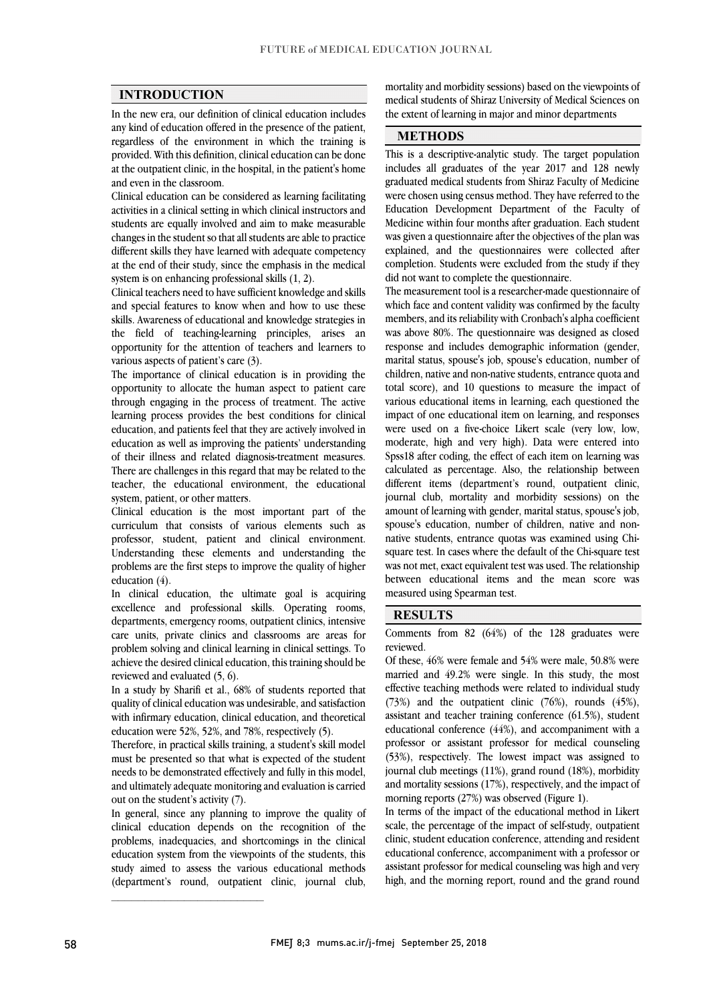#### **INTRODUCTION**

 In the new era, our definition of clinical education includes any kind of education offered in the presence of the patient, regardless of the environment in which the training is at the outpatient clinic, in the hospital, in the patient's home provided. With this definition, clinical education can be done and even in the classroom.

 Clinical education can be considered as learning facilitating activities in a clinical setting in which clinical instructors and changes in the student so that all students are able to practice different skills they have learned with adequate competency at the end of their study, since the emphasis in the medical students are equally involved and aim to make measurable system is on enhancing professional skills (1, 2).

system is on ennancing protessional skills (1, 2).<br>Clinical teachers need to have sufficient knowledge and skills and special features to know when and how to use these skills. Awareness of educational and knowledge strategies in the field of teaching-learning principles, arises an opportunity for the attention of teachers and learners to various aspects of patient's care (3).

The importance of clinical education is in providing the opportunity to allocate the human aspect to patient care through engaging in the process of treatment. The active learning process provides the best conditions for clinical education as well as improving the patients' understanding of their illness and related diagnosis-treatment measures. There are challenges in this regard that may be related to the teacher, the educational environment, the educational<br>existent existent of other matters. education, and patients feel that they are actively involved in system, patient, or other matters.

 Clinical education is the most important part of the curriculum that consists of various elements such as professor, student, patient and clinical environment. problems are the first steps to improve the quality of higher Understanding these elements and understanding the education (4).

 In clinical education, the ultimate goal is acquiring excellence and professional skills. Operating rooms, care units, private clinics and classrooms are areas for problem solving and clinical learning in clinical settings. To achieve the desired clinical education, this training should be departments, emergency rooms, outpatient clinics, intensive reviewed and evaluated (5, 6).

reviewed and evaluated (5, 0).<br>In a study by Sharifi et al., 68% of students reported that quality of clinical education was undesirable, and satisfaction with infirmary education, clinical education, and theoretical education were 52%, 52%, and 78%, respectively (5).

 Therefore, in practical skills training, a student's skill model needs to be demonstrated effectively and fully in this model, and ultimately adequate monitoring and evaluation is carried must be presented so that what is expected of the student out on the student's activity (7).

 clinical education depends on the recognition of the problems, inadequacies, and shortcomings in the clinical education system from the viewpoints of the students, this study aimed to assess the various educational methods (department's round, outpatient clinic, journal club, In general, since any planning to improve the quality of

 medical students of Shiraz University of Medical Sciences on mortality and morbidity sessions) based on the viewpoints of the extent of learning in major and minor departments

I

### **METHODS**

 This is a descriptive-analytic study. The target population includes all graduates of the year 2017 and 128 newly graduated medical students from Shiraz Faculty of Medicine were chosen using census method. They have referred to the Education Development Department of the Faculty of was given a questionnaire after the objectives of the plan was explained, and the questionnaires were collected after completion. Students were excluded from the study if they Medicine within four months after graduation. Each student did not want to complete the questionnaire.

 The measurement tool is a researcher-made questionnaire of which face and content validity was confirmed by the faculty members, and its reliability with Cronbach's alpha coefficient was above 80%. The questionnaire was designed as closed marital status, spouse's job, spouse's education, number of children, native and non-native students, entrance quota and total score), and 10 questions to measure the impact of various educational items in learning, each questioned the mipace of one educational near on fearing, and responses were used on a five-choice Likert scale (very low, low, moderate, high and very high). Data were entered into Spss18 after coding, the effect of each item on learning was calculated as percentage. Also, the relationship between journal club, mortality and morbidity sessions) on the amount of learning with gender, marital status, spouse's job, spouse's education, number of children, native and nonnauve students, entrance quotas was examined using Chi-<br>square test. In cases where the default of the Chi-square test was not met, exact equivalent test was used. The relationship between educational items and the mean score was response and includes demographic information (gender, impact of one educational item on learning, and responses different items (department's round, outpatient clinic, native students, entrance quotas was examined using Chimeasured using Spearman test.

#### **RESULTS**

 Comments from 82 (64%) of the 128 graduates were reviewed.

 Of these, 46% were female and 54% were male, 50.8% were effective teaching methods were related to individual study (73%) and the outpatient clinic (76%), rounds (45%), assistant and teacher training conference (61.5%), student educational conference (44%), and accompaniment with a (53%), respectively. The lowest impact was assigned to journal club meetings (11%), grand round (18%), morbidity and mortality sessions (17%), respectively, and the impact of married and 49.2% were single. In this study, the most professor or assistant professor for medical counseling morning reports (27%) was observed (Figure 1).

morning reports  $(2/8)$  was observed (rigure 1).<br>In terms of the impact of the educational method in Likert scale, the percentage of the impact of self-study, outpatient clinic, student education conference, attending and resident educational conference, accompaniment with a professor or assistant professor for inethear counseling was high and very<br>high, and the morning report, round and the grand round assistant professor for medical counseling was high and very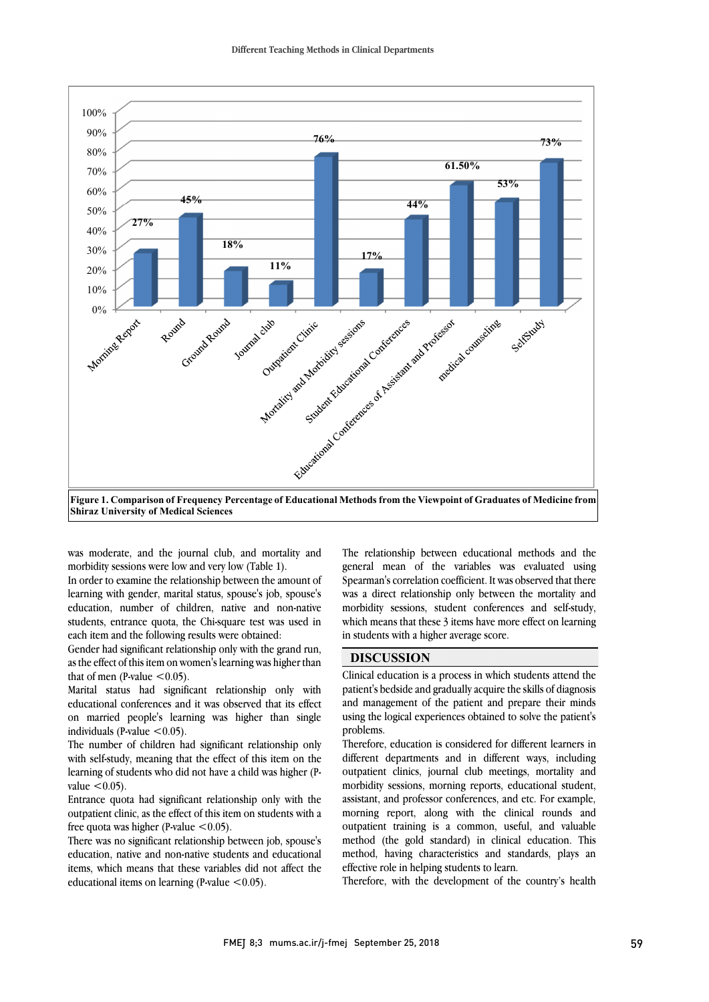

 **Figure 1. Comparison of Frequency Percentage of Educational Methods from the Viewpoint of Graduates of Medicine from**  Ĩ **Shiraz University of Medical Sciences**

ׇֺ֚֝֬

was moderate, and the journal club, and mortality and<br>morbidity cessions were low and year low (Table 1) morbidity sessions were low and very low (Table 1).

 In order to examine the relationship between the amount of learning with gender, marital status, spouse's job, spouse's education, number of children, native and non-native students, entrance quota, the Chi-square test was used in each item and the following results were obtained. each item and the following results were obtained:

 Gender had significant relationship only with the grand run, as the effect of this item on women's learning was higher than that of men (P-value  $\leq 0.05$ ).

mat of men (p-value < 0.05).<br>Marital status had significant relationship only with educational conferences and it was observed that its effect on married people's learning was higher than single individuals (P-value  $\leq 0.05$ ).

Inc number of children had significant relationship only<br>with self-study, meaning that the effect of this item on the learning of students who did not have a child was higher (P-The number of children had significant relationship only value  $< 0.05$ ).

 Entrance quota had significant relationship only with the outpatient clinic, as the effect of this item on students with a<br>free guate was higher  $\Omega$  value  $\leq 0.05$ . free quota was higher (P-value  $\leq 0.05$ ).

 There was no significant relationship between job, spouse's education, native and non-native students and educational items, which means that these variables did not affect the educational items on learning (P-value  $<$  0.05).

 The relationship between educational methods and the general mean of the variables was evaluated using Spearman's correlation coefficient. It was observed that there was a direct relationship only between the mortality and morbidity sessions, student conferences and self-study,<br>which means that these 3 items have more effect on learning Ĭ morbidity sessions, student conferences and self-study, in students with a higher average score.

### **DISCUSSION**

l patient's bedside and gradually acquire the skills of diagnosis and management of the patient and prepare their minds using the logical experiences obtained to solve the patient's Clinical education is a process in which students attend the problems.

problems.<br>Therefore, education is considered for different learners in different departments and in different ways, including outpatient clinics, journal club meetings, mortality and morbidity sessions, morning reports, educational student, assistant, and professor conferences, and etc. For example, outpatient training is a common, useful, and valuable method (the gold standard) in clinical education. This method, having characteristics and standards, plays an  $\overline{1}$ morning report, along with the clinical rounds and effective role in helping students to learn.

Therefore, with the development of the country's health

I

j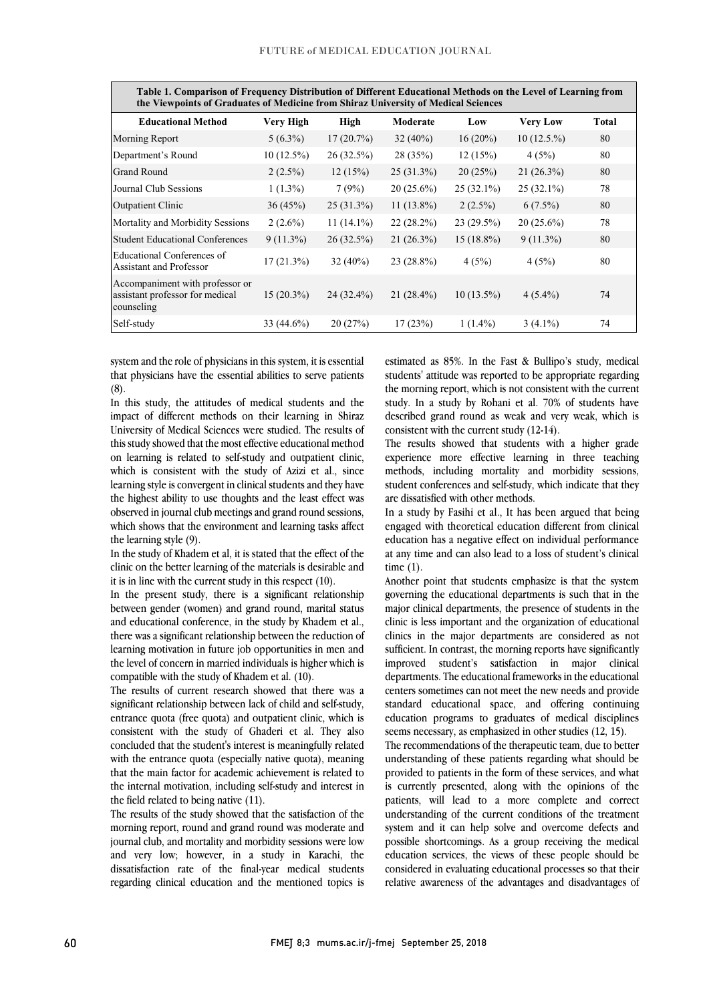$\overline{a}$ 

| Table 1. Comparison of Frequency Distribution of Different Educational Methods on the Level of Learning from<br>the Viewpoints of Graduates of Medicine from Shiraz University of Medical Sciences |                  |              |              |              |                 |       |
|----------------------------------------------------------------------------------------------------------------------------------------------------------------------------------------------------|------------------|--------------|--------------|--------------|-----------------|-------|
| <b>Educational Method</b>                                                                                                                                                                          | <b>Very High</b> | High         | Moderate     | Low          | <b>Very Low</b> | Total |
| Morning Report                                                                                                                                                                                     | $5(6.3\%)$       | 17(20.7%)    | $32(40\%)$   | $16(20\%)$   | 10(12.5.%)      | 80    |
| Department's Round                                                                                                                                                                                 | $10(12.5\%)$     | 26(32.5%)    | 28(35%)      | 12(15%)      | 4(5%)           | 80    |
| <b>Grand Round</b>                                                                                                                                                                                 | $2(2.5\%)$       | 12(15%)      | $25(31.3\%)$ | 20(25%)      | $21(26.3\%)$    | 80    |
| Journal Club Sessions                                                                                                                                                                              | $1(1.3\%)$       | 7(9%)        | $20(25.6\%)$ | $25(32.1\%)$ | $25(32.1\%)$    | 78    |
| Outpatient Clinic                                                                                                                                                                                  | 36(45%)          | $25(31.3\%)$ | $11(13.8\%)$ | $2(2.5\%)$   | $6(7.5\%)$      | 80    |
| Mortality and Morbidity Sessions                                                                                                                                                                   | $2(2.6\%)$       | $11(14.1\%)$ | $22(28.2\%)$ | 23(29.5%)    | $20(25.6\%)$    | 78    |
| <b>Student Educational Conferences</b>                                                                                                                                                             | $9(11.3\%)$      | $26(32.5\%)$ | $21(26.3\%)$ | $15(18.8\%)$ | $9(11.3\%)$     | 80    |
| Educational Conferences of<br><b>Assistant and Professor</b>                                                                                                                                       | $17(21.3\%)$     | $32(40\%)$   | $23(28.8\%)$ | 4(5%)        | 4(5%)           | 80    |
| Accompaniment with professor or<br>assistant professor for medical<br>counseling                                                                                                                   | $15(20.3\%)$     | 24 (32.4%)   | $21(28.4\%)$ | $10(13.5\%)$ | $4(5.4\%)$      | 74    |
| Self-study                                                                                                                                                                                         | 33 (44.6%)       | 20(27%)      | 17(23%)      | $1(1.4\%)$   | $3(4.1\%)$      | 74    |

 system and the role of physicians in this system, it is essential that physicians have the essential abilities to serve patients (8).

 In this study, the attitudes of medical students and the impact of different methods on their learning in Shiraz this study showed that the most effective educational method on learning is related to self-study and outpatient clinic, which is consistent with the study of Azizi et al., since learning style is convergent in clinical students and they have<br>the highest shility to use thoughts and the least offert was observed in journal club meetings and grand round sessions, which shows that the environment and learning tasks affect University of Medical Sciences were studied. The results of the highest ability to use thoughts and the least effect was the learning style (9).

 clinic on the better learning of the materials is desirable and In the study of Khadem et al, it is stated that the effect of the it is in line with the current study in this respect (10).

 In the present study, there is a significant relationship between gender (women) and grand round, marital status and conceational conference, in the study by Khadelin et al.,<br>there was a significant relationship between the reduction of learning motivation in future job opportunities in men and the level of concern in married individuals is higher which is and educational conference, in the study by Khadem et al., compatible with the study of Khadem et al. (10).

compatible with the study of Khadem et al. (10).<br>The results of current research showed that there was a significant relationship between lack of child and self-study, entrance quota (free quota) and outpatient clinic, which is consistent with the study of Ghaderi et al. They also concluded that the student's interest is meaningfully related that the main factor for academic achievement is related to the internal motivation, including self-study and interest in with the entrance quota (especially native quota), meaning the field related to being native (11).

The results of the study showed that the satisfaction of the<br>morning report, round and grand round was moderate and journal club, and mortality and morbidity sessions were low and very low; however, in a study in Karachi, the dissatisfaction rate of the final-year medical students regarding clinical education and the mentioned topics is The results of the study showed that the satisfaction of the

 estimated as 85%. In the Fast & Bullipo's study, medical students' attitude was reported to be appropriate regarding the morning report, which is not consistent with the current study. In a study by Rohani et al. 70% of students have described grand round as weak and very weak, which is<br> $\frac{1}{2}$ consistent with the current study (12-14).

 $\overline{\phantom{a}}$ 

The results showed that students with a higher grade experience more effective learning in three teaching methods, including mortality and morbidity sessions, student conferences and self-study, which indicate that they<br>are diseatisfied with other matheda are dissatisfied with other methods.

 In a study by Fasihi et al., It has been argued that being engaged with theoretical education different from clinical education has a negative effect on individual performance at any time and can also lead to a loss of student's clinical time (1).

 Another point that students emphasize is that the system governing the educational departments is such that in the major clinical departments, the presence of students in the clinics in the major departments are considered as not sufficient. In contrast, the morning reports have significantly improved student's satisfaction in major clinical departments. The educational frameworks in the educational standard educational space, and offering continuing education programs to graduates of medical disciplines clinic is less important and the organization of educational centers sometimes can not meet the new needs and provide seems necessary, as emphasized in other studies (12, 15).

 The recommendations of the therapeutic team, due to better provided to patients in the form of these services, and what is currently presented, along with the opinions of the patients, will lead to a more complete and correct system and it can help solve and overcome defects and possible shortcomings. As a group receiving the medical education services, the views of these people should be considered in evaluating educational processes so that their relative awareness of the advantages and disadvantages of understanding of these patients regarding what should be understanding of the current conditions of the treatment